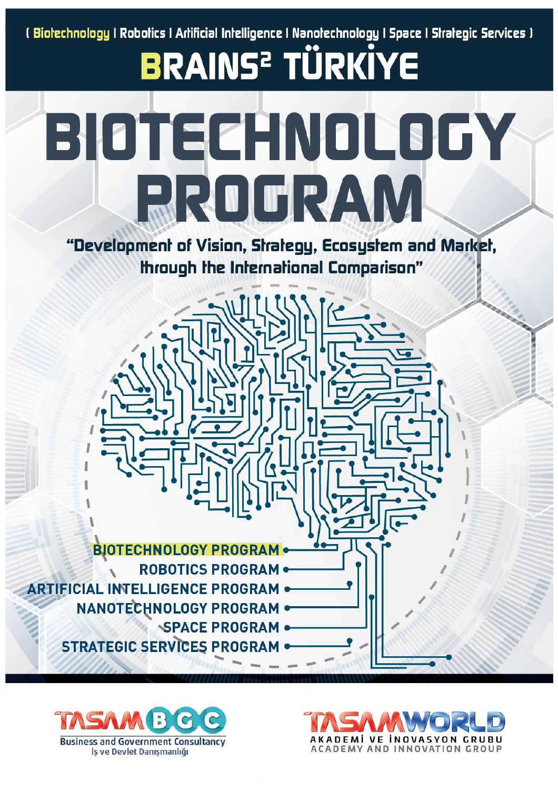( Biołechnology | Robołics | Artificial Intelligence | Nanołechnology | Space | Strategic Services |

# **BRAINS<sup>2</sup> TÜRKİYE** BIOTECHNOLOGY RROORAM

"Development of Vision, Strategy, Ecosystem and Market, through the International Comparison"





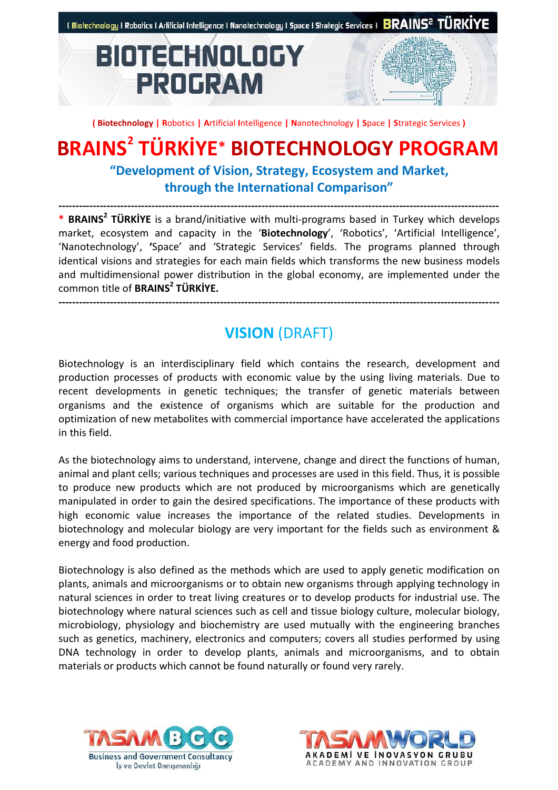**BRAINS?** ( Biolechnology | Robolics | Arlificial Inlelligence | Nanolechnology | Space | Strałegic Services |

### OTECHNOLOGY **PROGRAM**

**( Biotechnology | R**obotics **| A**rtificial **I**ntelligence **| N**anotechnology **| S**pace **| S**trategic Services **)**

### **BRAINS<sup>2</sup> TÜRKİYE\* BIOTECHNOLOGY PROGRAM**

**"Development of Vision, Strategy, Ecosystem and Market, through the International Comparison"**

**-------------------------------------------------------------------------------------------------------------------------------- \* BRAINS<sup>2</sup> TÜRKİYE** is a brand/initiative with multi-programs based in Turkey which develops market, ecosystem and capacity in the '**Biotechnology**', 'Robotics', 'Artificial Intelligence', 'Nanotechnology', **'**Space' and 'Strategic Services' fields. The programs planned through identical visions and strategies for each main fields which transforms the new business models and multidimensional power distribution in the global economy, are implemented under the common title of **BRAINS<sup>2</sup> TÜRKİYE.**

**--------------------------------------------------------------------------------------------------------------------------------**

### **VISION** (DRAFT)

Biotechnology is an interdisciplinary field which contains the research, development and production processes of products with economic value by the using living materials. Due to recent developments in genetic techniques; the transfer of genetic materials between organisms and the existence of organisms which are suitable for the production and optimization of new metabolites with commercial importance have accelerated the applications in this field.

As the biotechnology aims to understand, intervene, change and direct the functions of human, animal and plant cells; various techniques and processes are used in this field. Thus, it is possible to produce new products which are not produced by microorganisms which are genetically manipulated in order to gain the desired specifications. The importance of these products with high economic value increases the importance of the related studies. Developments in biotechnology and molecular biology are very important for the fields such as environment & energy and food production.

Biotechnology is also defined as the methods which are used to apply genetic modification on plants, animals and microorganisms or to obtain new organisms through applying technology in natural sciences in order to treat living creatures or to develop products for industrial use. The biotechnology where natural sciences such as cell and tissue biology culture, molecular biology, microbiology, physiology and biochemistry are used mutually with the engineering branches such as genetics, machinery, electronics and computers; covers all studies performed by using DNA technology in order to develop plants, animals and microorganisms, and to obtain materials or products which cannot be found naturally or found very rarely.



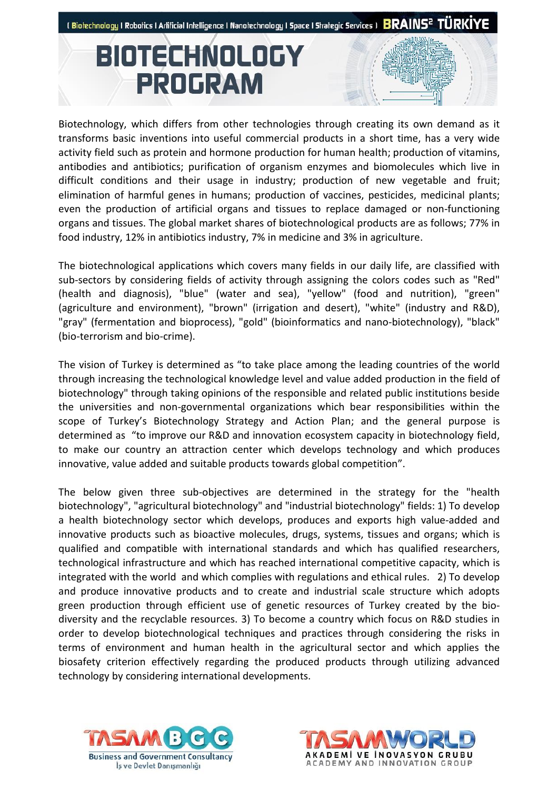### BIOTECHNOLOGY **PROGRAM**

Biotechnology, which differs from other technologies through creating its own demand as it transforms basic inventions into useful commercial products in a short time, has a very wide activity field such as protein and hormone production for human health; production of vitamins, antibodies and antibiotics; purification of organism enzymes and biomolecules which live in difficult conditions and their usage in industry; production of new vegetable and fruit; elimination of harmful genes in humans; production of vaccines, pesticides, medicinal plants; even the production of artificial organs and tissues to replace damaged or non-functioning organs and tissues. The global market shares of biotechnological products are as follows; 77% in food industry, 12% in antibiotics industry, 7% in medicine and 3% in agriculture.

The biotechnological applications which covers many fields in our daily life, are classified with sub-sectors by considering fields of activity through assigning the colors codes such as "Red" (health and diagnosis), "blue" (water and sea), "yellow" (food and nutrition), "green" (agriculture and environment), "brown" (irrigation and desert), "white" (industry and R&D), "gray" (fermentation and bioprocess), "gold" (bioinformatics and nano-biotechnology), "black" (bio-terrorism and bio-crime).

The vision of Turkey is determined as "to take place among the leading countries of the world through increasing the technological knowledge level and value added production in the field of biotechnology" through taking opinions of the responsible and related public institutions beside the universities and non-governmental organizations which bear responsibilities within the scope of Turkey's Biotechnology Strategy and Action Plan; and the general purpose is determined as "to improve our R&D and innovation ecosystem capacity in biotechnology field, to make our country an attraction center which develops technology and which produces innovative, value added and suitable products towards global competition".

The below given three sub-objectives are determined in the strategy for the "health biotechnology", "agricultural biotechnology" and "industrial biotechnology" fields: 1) To develop a health biotechnology sector which develops, produces and exports high value-added and innovative products such as bioactive molecules, drugs, systems, tissues and organs; which is qualified and compatible with international standards and which has qualified researchers, technological infrastructure and which has reached international competitive capacity, which is integrated with the world and which complies with regulations and ethical rules. 2) To develop and produce innovative products and to create and industrial scale structure which adopts green production through efficient use of genetic resources of Turkey created by the biodiversity and the recyclable resources. 3) To become a country which focus on R&D studies in order to develop biotechnological techniques and practices through considering the risks in terms of environment and human health in the agricultural sector and which applies the biosafety criterion effectively regarding the produced products through utilizing advanced technology by considering international developments.



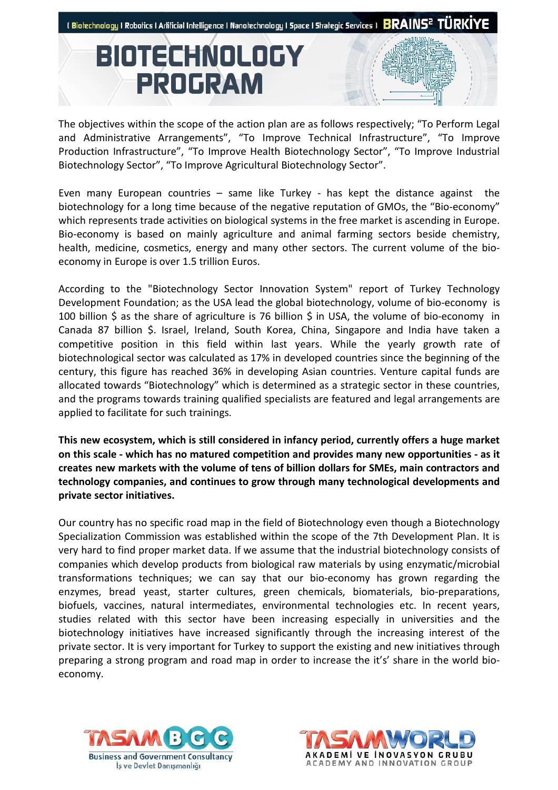

The objectives within the scope of the action plan are as follows respectively; "To Perform Legal and Administrative Arrangements", "To Improve Technical Infrastructure", "To Improve Production Infrastructure", "To Improve Health Biotechnology Sector", "To Improve Industrial Biotechnology Sector", "To Improve Agricultural Biotechnology Sector".

Even many European countries – same like Turkey - has kept the distance against the biotechnology for a long time because of the negative reputation of GMOs, the "Bio-economy" which represents trade activities on biological systems in the free market is ascending in Europe. Bio-economy is based on mainly agriculture and animal farming sectors beside chemistry, health, medicine, cosmetics, energy and many other sectors. The current volume of the bioeconomy in Europe is over 1.5 trillion Euros.

According to the "Biotechnology Sector Innovation System" report of Turkey Technology Development Foundation; as the USA lead the global biotechnology, volume of bio-economy is 100 billion \$ as the share of agriculture is 76 billion \$ in USA, the volume of bio-economy in Canada 87 billion \$. Israel, Ireland, South Korea, China, Singapore and India have taken a competitive position in this field within last years. While the yearly growth rate of biotechnological sector was calculated as 17% in developed countries since the beginning of the century, this figure has reached 36% in developing Asian countries. Venture capital funds are allocated towards "Biotechnology" which is determined as a strategic sector in these countries, and the programs towards training qualified specialists are featured and legal arrangements are applied to facilitate for such trainings.

**This new ecosystem, which is still considered in infancy period, currently offers a huge market on this scale - which has no matured competition and provides many new opportunities - as it creates new markets with the volume of tens of billion dollars for SMEs, main contractors and technology companies, and continues to grow through many technological developments and private sector initiatives.**

Our country has no specific road map in the field of Biotechnology even though a Biotechnology Specialization Commission was established within the scope of the 7th Development Plan. It is very hard to find proper market data. If we assume that the industrial biotechnology consists of companies which develop products from biological raw materials by using enzymatic/microbial transformations techniques; we can say that our bio-economy has grown regarding the enzymes, bread yeast, starter cultures, green chemicals, biomaterials, bio-preparations, biofuels, vaccines, natural intermediates, environmental technologies etc. In recent years, studies related with this sector have been increasing especially in universities and the biotechnology initiatives have increased significantly through the increasing interest of the private sector. It is very important for Turkey to support the existing and new initiatives through preparing a strong program and road map in order to increase the it's' share in the world bioeconomy.



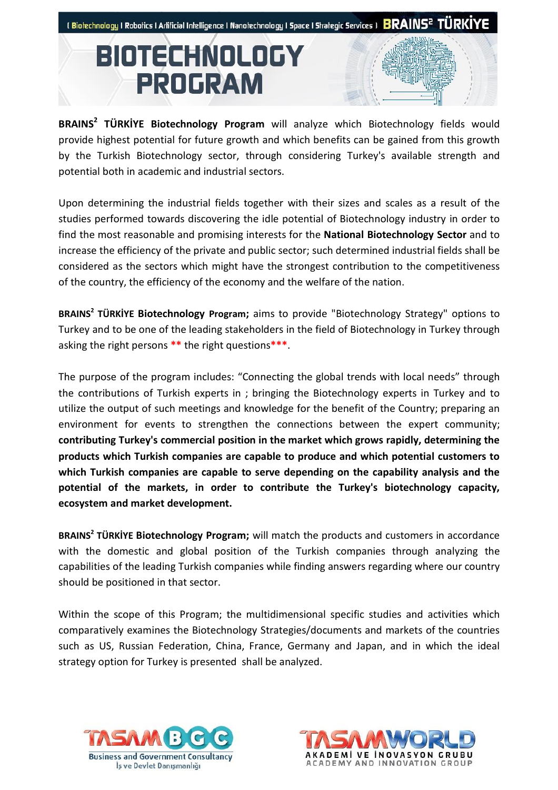### BIOTECHNOLOGY **PROGRAM**

**BRAINS<sup>2</sup> TÜRKİYE Biotechnology Program** will analyze which Biotechnology fields would provide highest potential for future growth and which benefits can be gained from this growth by the Turkish Biotechnology sector, through considering Turkey's available strength and potential both in academic and industrial sectors.

Upon determining the industrial fields together with their sizes and scales as a result of the studies performed towards discovering the idle potential of Biotechnology industry in order to find the most reasonable and promising interests for the **National Biotechnology Sector** and to increase the efficiency of the private and public sector; such determined industrial fields shall be considered as the sectors which might have the strongest contribution to the competitiveness of the country, the efficiency of the economy and the welfare of the nation.

**BRAINS<sup>2</sup> TÜRKİYE Biotechnology Program;** aims to provide "Biotechnology Strategy" options to Turkey and to be one of the leading stakeholders in the field of Biotechnology in Turkey through asking the right persons **\*\*** the right questions**\*\*\***.

The purpose of the program includes: "Connecting the global trends with local needs" through the contributions of Turkish experts in ; bringing the Biotechnology experts in Turkey and to utilize the output of such meetings and knowledge for the benefit of the Country; preparing an environment for events to strengthen the connections between the expert community; **contributing Turkey's commercial position in the market which grows rapidly, determining the products which Turkish companies are capable to produce and which potential customers to which Turkish companies are capable to serve depending on the capability analysis and the potential of the markets, in order to contribute the Turkey's biotechnology capacity, ecosystem and market development.** 

**BRAINS<sup>2</sup> TÜRKİYE Biotechnology Program;** will match the products and customers in accordance with the domestic and global position of the Turkish companies through analyzing the capabilities of the leading Turkish companies while finding answers regarding where our country should be positioned in that sector.

Within the scope of this Program; the multidimensional specific studies and activities which comparatively examines the Biotechnology Strategies/documents and markets of the countries such as US, Russian Federation, China, France, Germany and Japan, and in which the ideal strategy option for Turkey is presented shall be analyzed.



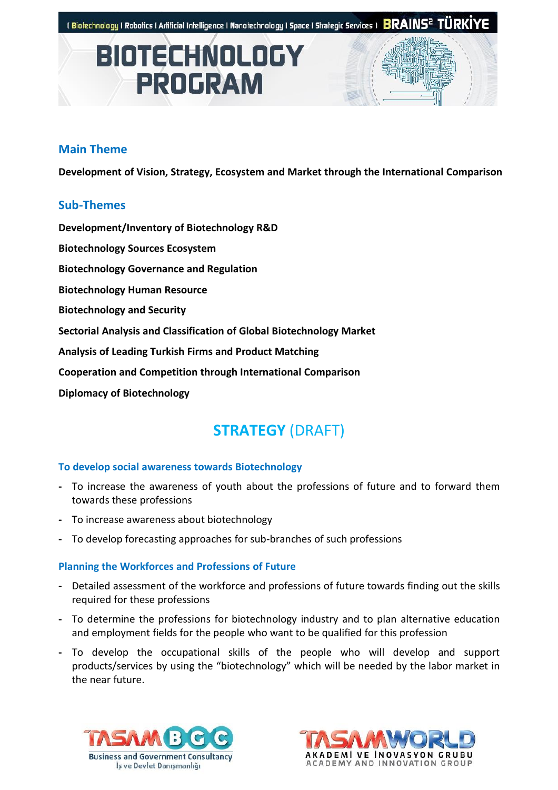( Biolechnology | Robolics | Arlificial Inlelligence | Nanolechnology | Space | Strałegic Services | **BRAINS?** 

### OTECHNOLOGY **PROGRAM**

### **Main Theme**

**Development of Vision, Strategy, Ecosystem and Market through the International Comparison** 

### **Sub-Themes**

**Development/Inventory of Biotechnology R&D Biotechnology Sources Ecosystem Biotechnology Governance and Regulation Biotechnology Human Resource Biotechnology and Security Sectorial Analysis and Classification of Global Biotechnology Market Analysis of Leading Turkish Firms and Product Matching Cooperation and Competition through International Comparison Diplomacy of Biotechnology**

### **STRATEGY** (DRAFT)

### **To develop social awareness towards Biotechnology**

- **-** To increase the awareness of youth about the professions of future and to forward them towards these professions
- **-** To increase awareness about biotechnology
- **-** To develop forecasting approaches for sub-branches of such professions

### **Planning the Workforces and Professions of Future**

- **-** Detailed assessment of the workforce and professions of future towards finding out the skills required for these professions
- **-** To determine the professions for biotechnology industry and to plan alternative education and employment fields for the people who want to be qualified for this profession
- **-** To develop the occupational skills of the people who will develop and support products/services by using the "biotechnology" which will be needed by the labor market in the near future.



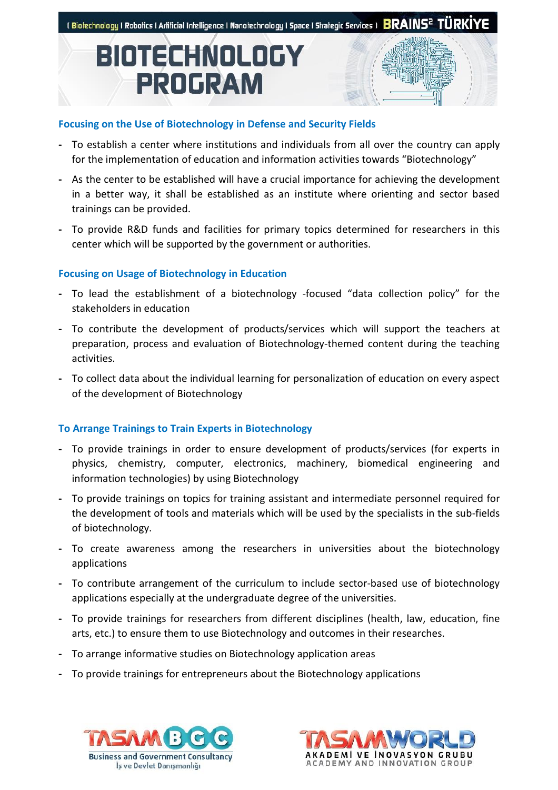

### OTECHNOLOGY **PROGRAM**

### **Focusing on the Use of Biotechnology in Defense and Security Fields**

- **-** To establish a center where institutions and individuals from all over the country can apply for the implementation of education and information activities towards "Biotechnology"
- **-** As the center to be established will have a crucial importance for achieving the development in a better way, it shall be established as an institute where orienting and sector based trainings can be provided.
- **-** To provide R&D funds and facilities for primary topics determined for researchers in this center which will be supported by the government or authorities.

### **Focusing on Usage of Biotechnology in Education**

- **-** To lead the establishment of a biotechnology -focused "data collection policy" for the stakeholders in education
- **-** To contribute the development of products/services which will support the teachers at preparation, process and evaluation of Biotechnology-themed content during the teaching activities.
- **-** To collect data about the individual learning for personalization of education on every aspect of the development of Biotechnology

### **To Arrange Trainings to Train Experts in Biotechnology**

- **-** To provide trainings in order to ensure development of products/services (for experts in physics, chemistry, computer, electronics, machinery, biomedical engineering and information technologies) by using Biotechnology
- **-** To provide trainings on topics for training assistant and intermediate personnel required for the development of tools and materials which will be used by the specialists in the sub-fields of biotechnology.
- **-** To create awareness among the researchers in universities about the biotechnology applications
- **-** To contribute arrangement of the curriculum to include sector-based use of biotechnology applications especially at the undergraduate degree of the universities.
- **-** To provide trainings for researchers from different disciplines (health, law, education, fine arts, etc.) to ensure them to use Biotechnology and outcomes in their researches.
- **-** To arrange informative studies on Biotechnology application areas
- **-** To provide trainings for entrepreneurs about the Biotechnology applications



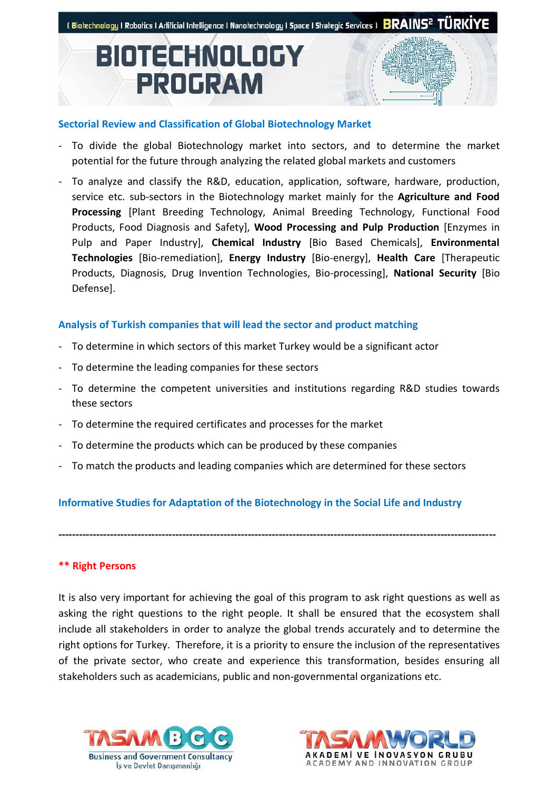

### OTECHNOLOGY **PROGRAM**

#### **Sectorial Review and Classification of Global Biotechnology Market**

- To divide the global Biotechnology market into sectors, and to determine the market potential for the future through analyzing the related global markets and customers
- To analyze and classify the R&D, education, application, software, hardware, production, service etc. sub-sectors in the Biotechnology market mainly for the **Agriculture and Food Processing** [Plant Breeding Technology, Animal Breeding Technology, Functional Food Products, Food Diagnosis and Safety], **Wood Processing and Pulp Production** [Enzymes in Pulp and Paper Industry], **Chemical Industry** [Bio Based Chemicals], **Environmental Technologies** [Bio-remediation], **Energy Industry** [Bio-energy], **Health Care** [Therapeutic Products, Diagnosis, Drug Invention Technologies, Bio-processing], **National Security** [Bio Defense].

#### **Analysis of Turkish companies that will lead the sector and product matching**

- To determine in which sectors of this market Turkey would be a significant actor
- To determine the leading companies for these sectors
- To determine the competent universities and institutions regarding R&D studies towards these sectors
- To determine the required certificates and processes for the market
- To determine the products which can be produced by these companies
- To match the products and leading companies which are determined for these sectors

### **Informative Studies for Adaptation of the Biotechnology in the Social Life and Industry**

**-------------------------------------------------------------------------------------------------------------------------------**

**\*\* Right Persons**

It is also very important for achieving the goal of this program to ask right questions as well as asking the right questions to the right people. It shall be ensured that the ecosystem shall include all stakeholders in order to analyze the global trends accurately and to determine the right options for Turkey. Therefore, it is a priority to ensure the inclusion of the representatives of the private sector, who create and experience this transformation, besides ensuring all stakeholders such as academicians, public and non-governmental organizations etc.